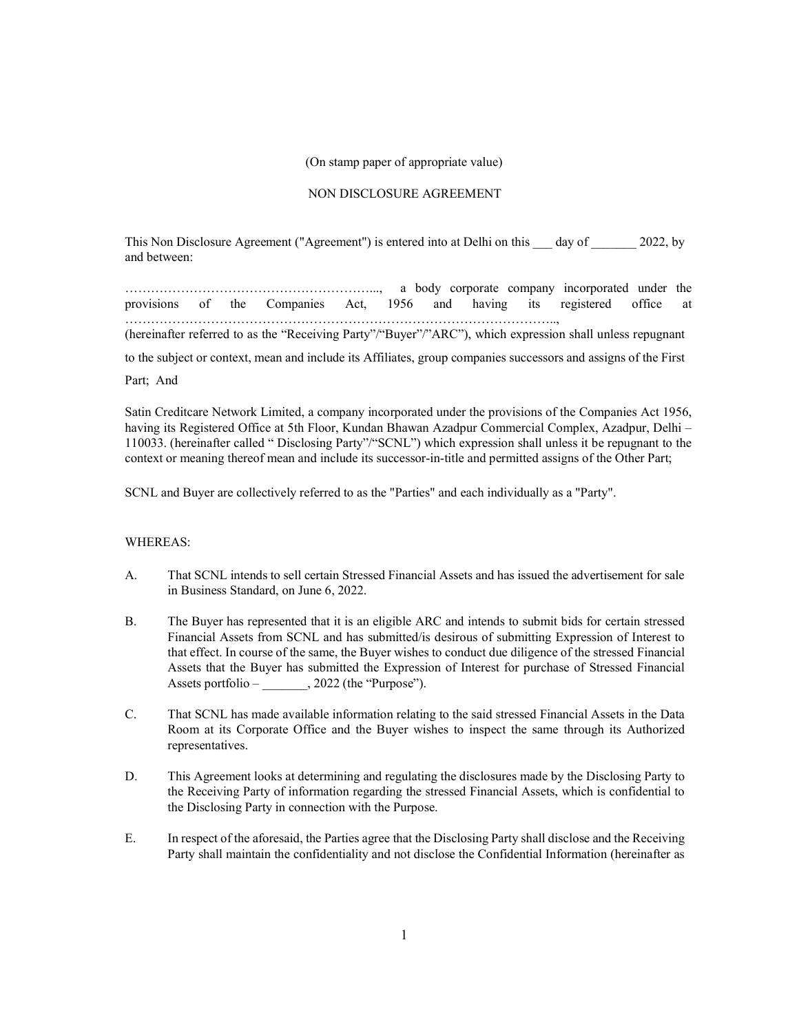## (On stamp paper of appropriate value)

## NON DISCLOSURE AGREEMENT

This Non Disclosure Agreement ("Agreement") is entered into at Delhi on this day of 2022, by and between:

…………………………………………………..., a body corporate company incorporated under the provisions of the Companies Act, 1956 and having its registered office at ……………………………………………………………………………………….., (hereinafter referred to as the "Receiving Party"/"Buyer"/"ARC"), which expression shall unless repugnant to the subject or context, mean and include its Affiliates, group companies successors and assigns of the First Part; And

Satin Creditcare Network Limited, a company incorporated under the provisions of the Companies Act 1956, having its Registered Office at 5th Floor, Kundan Bhawan Azadpur Commercial Complex, Azadpur, Delhi – 110033. (hereinafter called " Disclosing Party"/"SCNL") which expression shall unless it be repugnant to the context or meaning thereof mean and include its successor-in-title and permitted assigns of the Other Part;

SCNL and Buyer are collectively referred to as the "Parties" and each individually as a "Party".

## WHEREAS:

- A. That SCNL intends to sell certain Stressed Financial Assets and has issued the advertisement for sale in Business Standard, on June 6, 2022.
- B. The Buyer has represented that it is an eligible ARC and intends to submit bids for certain stressed Financial Assets from SCNL and has submitted/is desirous of submitting Expression of Interest to that effect. In course of the same, the Buyer wishes to conduct due diligence of the stressed Financial Assets that the Buyer has submitted the Expression of Interest for purchase of Stressed Financial Assets portfolio – \_\_\_\_\_\_, 2022 (the "Purpose").
- C. That SCNL has made available information relating to the said stressed Financial Assets in the Data Room at its Corporate Office and the Buyer wishes to inspect the same through its Authorized representatives.
- D. This Agreement looks at determining and regulating the disclosures made by the Disclosing Party to the Receiving Party of information regarding the stressed Financial Assets, which is confidential to the Disclosing Party in connection with the Purpose.
- E. In respect of the aforesaid, the Parties agree that the Disclosing Party shall disclose and the Receiving Party shall maintain the confidentiality and not disclose the Confidential Information (hereinafter as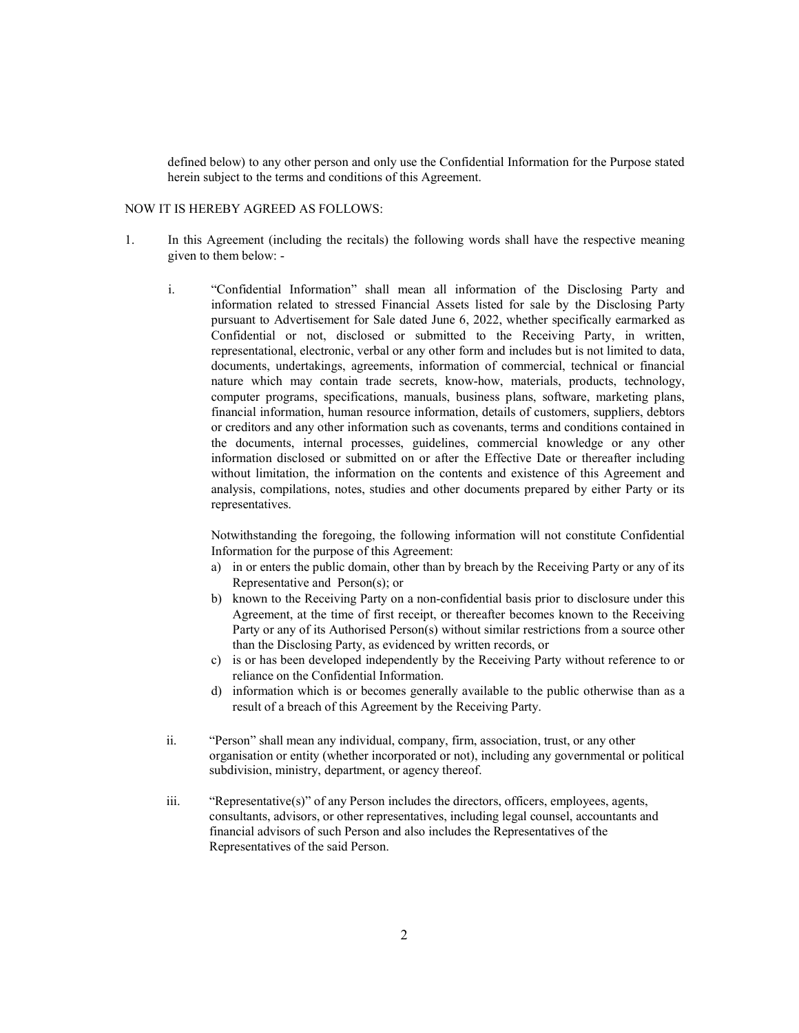defined below) to any other person and only use the Confidential Information for the Purpose stated herein subject to the terms and conditions of this Agreement.

## NOW IT IS HEREBY AGREED AS FOLLOWS:

- 1. In this Agreement (including the recitals) the following words shall have the respective meaning given to them below:
	- i. "Confidential Information" shall mean all information of the Disclosing Party and information related to stressed Financial Assets listed for sale by the Disclosing Party pursuant to Advertisement for Sale dated June 6, 2022, whether specifically earmarked as Confidential or not, disclosed or submitted to the Receiving Party, in written, representational, electronic, verbal or any other form and includes but is not limited to data, documents, undertakings, agreements, information of commercial, technical or financial nature which may contain trade secrets, know-how, materials, products, technology, computer programs, specifications, manuals, business plans, software, marketing plans, financial information, human resource information, details of customers, suppliers, debtors or creditors and any other information such as covenants, terms and conditions contained in the documents, internal processes, guidelines, commercial knowledge or any other information disclosed or submitted on or after the Effective Date or thereafter including without limitation, the information on the contents and existence of this Agreement and analysis, compilations, notes, studies and other documents prepared by either Party or its representatives.

Notwithstanding the foregoing, the following information will not constitute Confidential Information for the purpose of this Agreement:

- a) in or enters the public domain, other than by breach by the Receiving Party or any of its Representative and Person(s); or
- b) known to the Receiving Party on a non-confidential basis prior to disclosure under this Agreement, at the time of first receipt, or thereafter becomes known to the Receiving Party or any of its Authorised Person(s) without similar restrictions from a source other than the Disclosing Party, as evidenced by written records, or
- c) is or has been developed independently by the Receiving Party without reference to or reliance on the Confidential Information.
- d) information which is or becomes generally available to the public otherwise than as a result of a breach of this Agreement by the Receiving Party.
- ii. "Person" shall mean any individual, company, firm, association, trust, or any other organisation or entity (whether incorporated or not), including any governmental or political subdivision, ministry, department, or agency thereof.
- iii. "Representative(s)" of any Person includes the directors, officers, employees, agents, consultants, advisors, or other representatives, including legal counsel, accountants and financial advisors of such Person and also includes the Representatives of the Representatives of the said Person.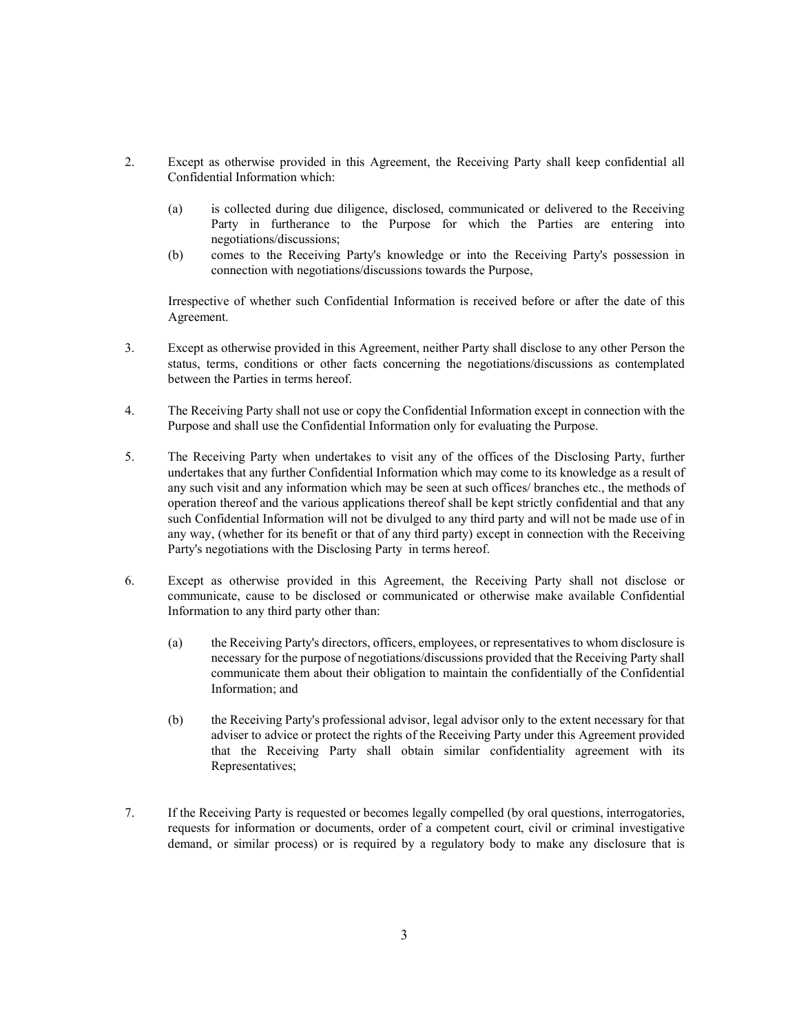- 2. Except as otherwise provided in this Agreement, the Receiving Party shall keep confidential all Confidential Information which:
	- (a) is collected during due diligence, disclosed, communicated or delivered to the Receiving Party in furtherance to the Purpose for which the Parties are entering into negotiations/discussions;
	- (b) comes to the Receiving Party's knowledge or into the Receiving Party's possession in connection with negotiations/discussions towards the Purpose,

Irrespective of whether such Confidential Information is received before or after the date of this Agreement.

- 3. Except as otherwise provided in this Agreement, neither Party shall disclose to any other Person the status, terms, conditions or other facts concerning the negotiations/discussions as contemplated between the Parties in terms hereof.
- 4. The Receiving Party shall not use or copy the Confidential Information except in connection with the Purpose and shall use the Confidential Information only for evaluating the Purpose.
- 5. The Receiving Party when undertakes to visit any of the offices of the Disclosing Party, further undertakes that any further Confidential Information which may come to its knowledge as a result of any such visit and any information which may be seen at such offices/ branches etc., the methods of operation thereof and the various applications thereof shall be kept strictly confidential and that any such Confidential Information will not be divulged to any third party and will not be made use of in any way, (whether for its benefit or that of any third party) except in connection with the Receiving Party's negotiations with the Disclosing Party in terms hereof.
- 6. Except as otherwise provided in this Agreement, the Receiving Party shall not disclose or communicate, cause to be disclosed or communicated or otherwise make available Confidential Information to any third party other than:
	- (a) the Receiving Party's directors, officers, employees, or representatives to whom disclosure is necessary for the purpose of negotiations/discussions provided that the Receiving Party shall communicate them about their obligation to maintain the confidentially of the Confidential Information; and
	- (b) the Receiving Party's professional advisor, legal advisor only to the extent necessary for that adviser to advice or protect the rights of the Receiving Party under this Agreement provided that the Receiving Party shall obtain similar confidentiality agreement with its Representatives;
- 7. If the Receiving Party is requested or becomes legally compelled (by oral questions, interrogatories, requests for information or documents, order of a competent court, civil or criminal investigative demand, or similar process) or is required by a regulatory body to make any disclosure that is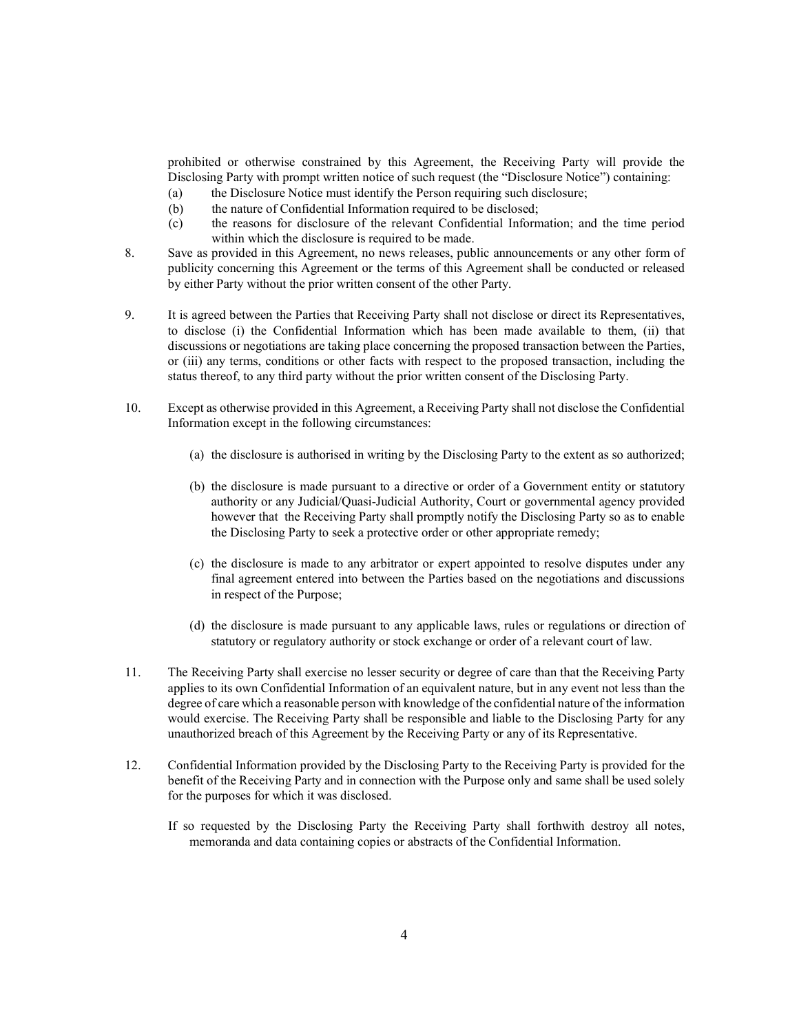prohibited or otherwise constrained by this Agreement, the Receiving Party will provide the Disclosing Party with prompt written notice of such request (the "Disclosure Notice") containing:

- (a) the Disclosure Notice must identify the Person requiring such disclosure;
- (b) the nature of Confidential Information required to be disclosed;
- (c) the reasons for disclosure of the relevant Confidential Information; and the time period within which the disclosure is required to be made.
- 8. Save as provided in this Agreement, no news releases, public announcements or any other form of publicity concerning this Agreement or the terms of this Agreement shall be conducted or released by either Party without the prior written consent of the other Party.
- 9. It is agreed between the Parties that Receiving Party shall not disclose or direct its Representatives, to disclose (i) the Confidential Information which has been made available to them, (ii) that discussions or negotiations are taking place concerning the proposed transaction between the Parties, or (iii) any terms, conditions or other facts with respect to the proposed transaction, including the status thereof, to any third party without the prior written consent of the Disclosing Party.
- 10. Except as otherwise provided in this Agreement, a Receiving Party shall not disclose the Confidential Information except in the following circumstances:
	- (a) the disclosure is authorised in writing by the Disclosing Party to the extent as so authorized;
	- (b) the disclosure is made pursuant to a directive or order of a Government entity or statutory authority or any Judicial/Quasi-Judicial Authority, Court or governmental agency provided however that the Receiving Party shall promptly notify the Disclosing Party so as to enable the Disclosing Party to seek a protective order or other appropriate remedy;
	- (c) the disclosure is made to any arbitrator or expert appointed to resolve disputes under any final agreement entered into between the Parties based on the negotiations and discussions in respect of the Purpose;
	- (d) the disclosure is made pursuant to any applicable laws, rules or regulations or direction of statutory or regulatory authority or stock exchange or order of a relevant court of law.
- 11. The Receiving Party shall exercise no lesser security or degree of care than that the Receiving Party applies to its own Confidential Information of an equivalent nature, but in any event not less than the degree of care which a reasonable person with knowledge of the confidential nature of the information would exercise. The Receiving Party shall be responsible and liable to the Disclosing Party for any unauthorized breach of this Agreement by the Receiving Party or any of its Representative.
- 12. Confidential Information provided by the Disclosing Party to the Receiving Party is provided for the benefit of the Receiving Party and in connection with the Purpose only and same shall be used solely for the purposes for which it was disclosed.
	- If so requested by the Disclosing Party the Receiving Party shall forthwith destroy all notes, memoranda and data containing copies or abstracts of the Confidential Information.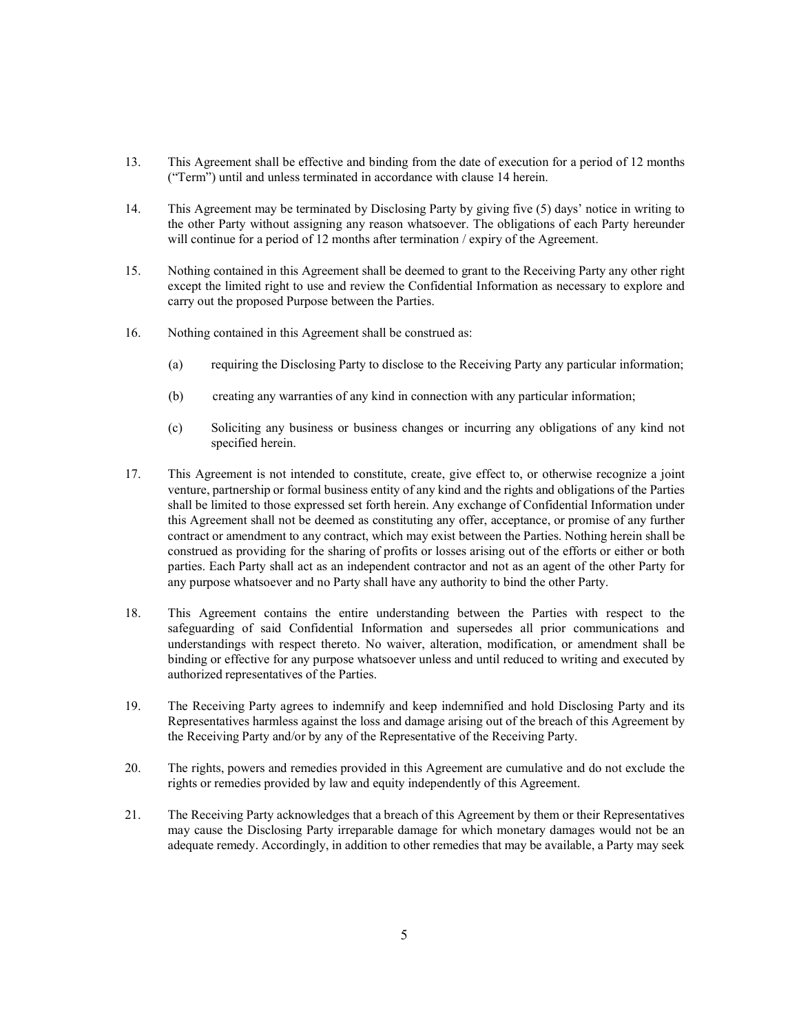- 13. This Agreement shall be effective and binding from the date of execution for a period of 12 months ("Term") until and unless terminated in accordance with clause 14 herein.
- 14. This Agreement may be terminated by Disclosing Party by giving five (5) days' notice in writing to the other Party without assigning any reason whatsoever. The obligations of each Party hereunder will continue for a period of 12 months after termination / expiry of the Agreement.
- 15. Nothing contained in this Agreement shall be deemed to grant to the Receiving Party any other right except the limited right to use and review the Confidential Information as necessary to explore and carry out the proposed Purpose between the Parties.
- 16. Nothing contained in this Agreement shall be construed as:
	- (a) requiring the Disclosing Party to disclose to the Receiving Party any particular information;
	- (b) creating any warranties of any kind in connection with any particular information;
	- (c) Soliciting any business or business changes or incurring any obligations of any kind not specified herein.
- 17. This Agreement is not intended to constitute, create, give effect to, or otherwise recognize a joint venture, partnership or formal business entity of any kind and the rights and obligations of the Parties shall be limited to those expressed set forth herein. Any exchange of Confidential Information under this Agreement shall not be deemed as constituting any offer, acceptance, or promise of any further contract or amendment to any contract, which may exist between the Parties. Nothing herein shall be construed as providing for the sharing of profits or losses arising out of the efforts or either or both parties. Each Party shall act as an independent contractor and not as an agent of the other Party for any purpose whatsoever and no Party shall have any authority to bind the other Party.
- 18. This Agreement contains the entire understanding between the Parties with respect to the safeguarding of said Confidential Information and supersedes all prior communications and understandings with respect thereto. No waiver, alteration, modification, or amendment shall be binding or effective for any purpose whatsoever unless and until reduced to writing and executed by authorized representatives of the Parties.
- 19. The Receiving Party agrees to indemnify and keep indemnified and hold Disclosing Party and its Representatives harmless against the loss and damage arising out of the breach of this Agreement by the Receiving Party and/or by any of the Representative of the Receiving Party.
- 20. The rights, powers and remedies provided in this Agreement are cumulative and do not exclude the rights or remedies provided by law and equity independently of this Agreement.
- 21. The Receiving Party acknowledges that a breach of this Agreement by them or their Representatives may cause the Disclosing Party irreparable damage for which monetary damages would not be an adequate remedy. Accordingly, in addition to other remedies that may be available, a Party may seek